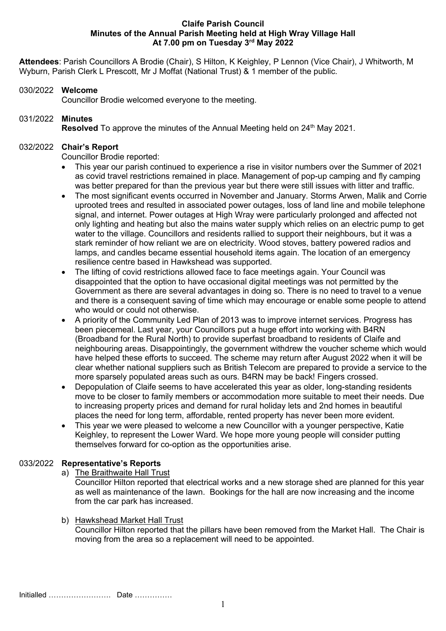#### Claife Parish Council Minutes of the Annual Parish Meeting held at High Wray Village Hall At 7.00 pm on Tuesday 3rd May 2022

Attendees: Parish Councillors A Brodie (Chair), S Hilton, K Keighley, P Lennon (Vice Chair), J Whitworth, M Wyburn, Parish Clerk L Prescott, Mr J Moffat (National Trust) & 1 member of the public.

### 030/2022 Welcome

Councillor Brodie welcomed everyone to the meeting.

# 031/2022 Minutes

Resolved To approve the minutes of the Annual Meeting held on 24<sup>th</sup> May 2021.

# 032/2022 Chair's Report

Councillor Brodie reported:

- This year our parish continued to experience a rise in visitor numbers over the Summer of 2021 as covid travel restrictions remained in place. Management of pop-up camping and fly camping was better prepared for than the previous year but there were still issues with litter and traffic.
- The most significant events occurred in November and January. Storms Arwen, Malik and Corrie uprooted trees and resulted in associated power outages, loss of land line and mobile telephone signal, and internet. Power outages at High Wray were particularly prolonged and affected not only lighting and heating but also the mains water supply which relies on an electric pump to get water to the village. Councillors and residents rallied to support their neighbours, but it was a stark reminder of how reliant we are on electricity. Wood stoves, battery powered radios and lamps, and candles became essential household items again. The location of an emergency resilience centre based in Hawkshead was supported.
- The lifting of covid restrictions allowed face to face meetings again. Your Council was disappointed that the option to have occasional digital meetings was not permitted by the Government as there are several advantages in doing so. There is no need to travel to a venue and there is a consequent saving of time which may encourage or enable some people to attend who would or could not otherwise.
- A priority of the Community Led Plan of 2013 was to improve internet services. Progress has been piecemeal. Last year, your Councillors put a huge effort into working with B4RN (Broadband for the Rural North) to provide superfast broadband to residents of Claife and neighbouring areas. Disappointingly, the government withdrew the voucher scheme which would have helped these efforts to succeed. The scheme may return after August 2022 when it will be clear whether national suppliers such as British Telecom are prepared to provide a service to the more sparsely populated areas such as ours. B4RN may be back! Fingers crossed.
- Depopulation of Claife seems to have accelerated this year as older, long-standing residents move to be closer to family members or accommodation more suitable to meet their needs. Due to increasing property prices and demand for rural holiday lets and 2nd homes in beautiful places the need for long term, affordable, rented property has never been more evident.
- This year we were pleased to welcome a new Councillor with a younger perspective, Katie Keighley, to represent the Lower Ward. We hope more young people will consider putting themselves forward for co-option as the opportunities arise.

# 033/2022 Representative's Reports

a) The Braithwaite Hall Trust

Councillor Hilton reported that electrical works and a new storage shed are planned for this year as well as maintenance of the lawn. Bookings for the hall are now increasing and the income from the car park has increased.

b) Hawkshead Market Hall Trust

Councillor Hilton reported that the pillars have been removed from the Market Hall. The Chair is moving from the area so a replacement will need to be appointed.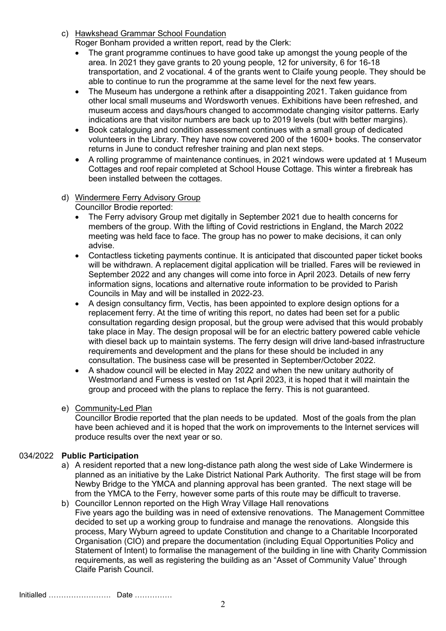- c) Hawkshead Grammar School Foundation Roger Bonham provided a written report, read by the Clerk:
	- The grant programme continues to have good take up amongst the young people of the area. In 2021 they gave grants to 20 young people, 12 for university, 6 for 16-18 transportation, and 2 vocational. 4 of the grants went to Claife young people. They should be able to continue to run the programme at the same level for the next few years.
	- The Museum has undergone a rethink after a disappointing 2021. Taken guidance from other local small museums and Wordsworth venues. Exhibitions have been refreshed, and museum access and days/hours changed to accommodate changing visitor patterns. Early indications are that visitor numbers are back up to 2019 levels (but with better margins).
	- Book cataloguing and condition assessment continues with a small group of dedicated volunteers in the Library. They have now covered 200 of the 1600+ books. The conservator returns in June to conduct refresher training and plan next steps.
	- A rolling programme of maintenance continues, in 2021 windows were updated at 1 Museum Cottages and roof repair completed at School House Cottage. This winter a firebreak has been installed between the cottages.
- d) Windermere Ferry Advisory Group

Councillor Brodie reported:

- The Ferry advisory Group met digitally in September 2021 due to health concerns for members of the group. With the lifting of Covid restrictions in England, the March 2022 meeting was held face to face. The group has no power to make decisions, it can only advise.
- Contactless ticketing payments continue. It is anticipated that discounted paper ticket books will be withdrawn. A replacement digital application will be trialled. Fares will be reviewed in September 2022 and any changes will come into force in April 2023. Details of new ferry information signs, locations and alternative route information to be provided to Parish Councils in May and will be installed in 2022-23.
- A design consultancy firm, Vectis, has been appointed to explore design options for a replacement ferry. At the time of writing this report, no dates had been set for a public consultation regarding design proposal, but the group were advised that this would probably take place in May. The design proposal will be for an electric battery powered cable vehicle with diesel back up to maintain systems. The ferry design will drive land-based infrastructure requirements and development and the plans for these should be included in any consultation. The business case will be presented in September/October 2022.
- A shadow council will be elected in May 2022 and when the new unitary authority of Westmorland and Furness is vested on 1st April 2023, it is hoped that it will maintain the group and proceed with the plans to replace the ferry. This is not guaranteed.

# e) Community-Led Plan

Councillor Brodie reported that the plan needs to be updated. Most of the goals from the plan have been achieved and it is hoped that the work on improvements to the Internet services will produce results over the next year or so.

# 034/2022 Public Participation

- a) A resident reported that a new long-distance path along the west side of Lake Windermere is planned as an initiative by the Lake District National Park Authority. The first stage will be from Newby Bridge to the YMCA and planning approval has been granted. The next stage will be from the YMCA to the Ferry, however some parts of this route may be difficult to traverse.
- b) Councillor Lennon reported on the High Wray Village Hall renovations Five years ago the building was in need of extensive renovations. The Management Committee decided to set up a working group to fundraise and manage the renovations. Alongside this process, Mary Wyburn agreed to update Constitution and change to a Charitable Incorporated Organisation (CIO) and prepare the documentation (including Equal Opportunities Policy and Statement of Intent) to formalise the management of the building in line with Charity Commission requirements, as well as registering the building as an "Asset of Community Value" through Claife Parish Council.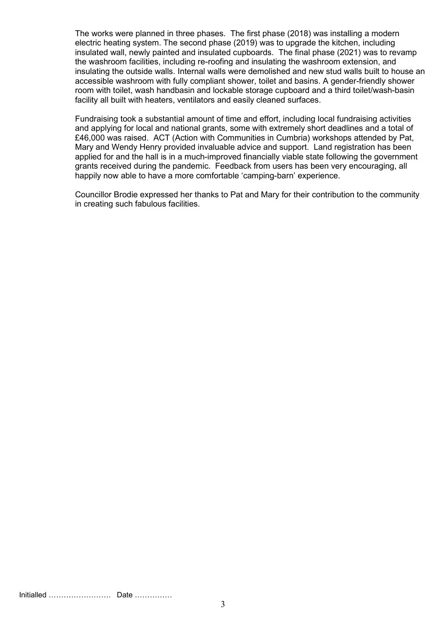The works were planned in three phases. The first phase (2018) was installing a modern electric heating system. The second phase (2019) was to upgrade the kitchen, including insulated wall, newly painted and insulated cupboards. The final phase (2021) was to revamp the washroom facilities, including re-roofing and insulating the washroom extension, and insulating the outside walls. Internal walls were demolished and new stud walls built to house an accessible washroom with fully compliant shower, toilet and basins. A gender-friendly shower room with toilet, wash handbasin and lockable storage cupboard and a third toilet/wash-basin facility all built with heaters, ventilators and easily cleaned surfaces.

Fundraising took a substantial amount of time and effort, including local fundraising activities and applying for local and national grants, some with extremely short deadlines and a total of £46,000 was raised. ACT (Action with Communities in Cumbria) workshops attended by Pat, Mary and Wendy Henry provided invaluable advice and support. Land registration has been applied for and the hall is in a much-improved financially viable state following the government grants received during the pandemic. Feedback from users has been very encouraging, all happily now able to have a more comfortable 'camping-barn' experience.

Councillor Brodie expressed her thanks to Pat and Mary for their contribution to the community in creating such fabulous facilities.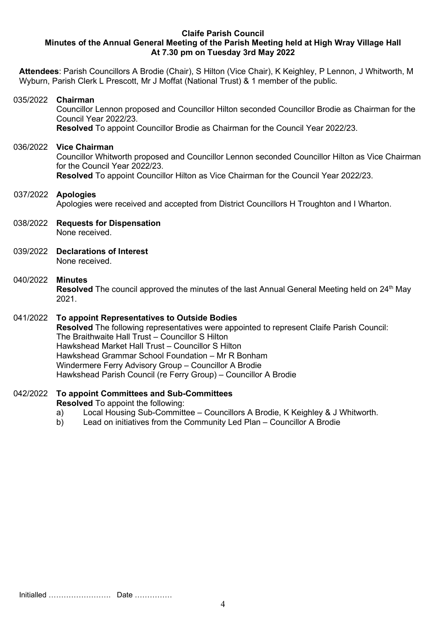#### Claife Parish Council Minutes of the Annual General Meeting of the Parish Meeting held at High Wray Village Hall At 7.30 pm on Tuesday 3rd May 2022

Attendees: Parish Councillors A Brodie (Chair), S Hilton (Vice Chair), K Keighley, P Lennon, J Whitworth, M Wyburn, Parish Clerk L Prescott, Mr J Moffat (National Trust) & 1 member of the public.

#### 035/2022 Chairman

Councillor Lennon proposed and Councillor Hilton seconded Councillor Brodie as Chairman for the Council Year 2022/23. Resolved To appoint Councillor Brodie as Chairman for the Council Year 2022/23.

#### 036/2022 Vice Chairman

Councillor Whitworth proposed and Councillor Lennon seconded Councillor Hilton as Vice Chairman for the Council Year 2022/23.

Resolved To appoint Councillor Hilton as Vice Chairman for the Council Year 2022/23.

#### 037/2022 Apologies Apologies were received and accepted from District Councillors H Troughton and I Wharton.

- 038/2022 Requests for Dispensation None received.
- 039/2022 Declarations of Interest None received.

#### 040/2022 Minutes

**Resolved** The council approved the minutes of the last Annual General Meeting held on  $24<sup>th</sup>$  May 2021.

#### 041/2022 To appoint Representatives to Outside Bodies

Resolved The following representatives were appointed to represent Claife Parish Council: The Braithwaite Hall Trust – Councillor S Hilton Hawkshead Market Hall Trust – Councillor S Hilton Hawkshead Grammar School Foundation – Mr R Bonham Windermere Ferry Advisory Group – Councillor A Brodie Hawkshead Parish Council (re Ferry Group) – Councillor A Brodie

#### 042/2022 To appoint Committees and Sub-Committees

Resolved To appoint the following:

- a) Local Housing Sub-Committee Councillors A Brodie, K Keighley & J Whitworth.
- b) Lead on initiatives from the Community Led Plan Councillor A Brodie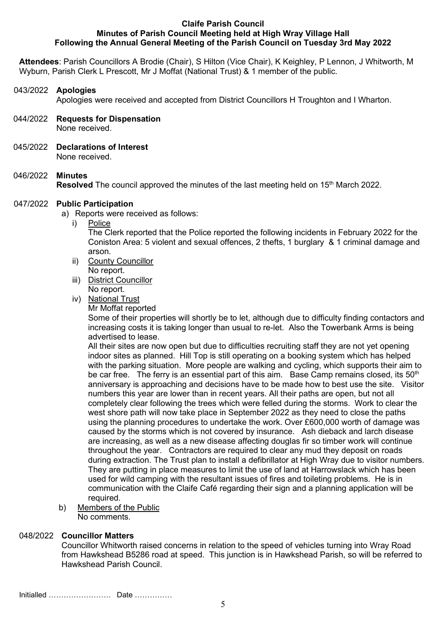#### Claife Parish Council Minutes of Parish Council Meeting held at High Wray Village Hall Following the Annual General Meeting of the Parish Council on Tuesday 3rd May 2022

Attendees: Parish Councillors A Brodie (Chair), S Hilton (Vice Chair), K Keighley, P Lennon, J Whitworth, M Wyburn, Parish Clerk L Prescott, Mr J Moffat (National Trust) & 1 member of the public.

#### 043/2022 Apologies

Apologies were received and accepted from District Councillors H Troughton and I Wharton.

- 044/2022 Requests for Dispensation None received.
- 045/2022 Declarations of Interest

None received.

### 046/2022 Minutes

Resolved The council approved the minutes of the last meeting held on 15<sup>th</sup> March 2022.

#### 047/2022 Public Participation

a) Reports were received as follows:

i) Police

The Clerk reported that the Police reported the following incidents in February 2022 for the Coniston Area: 5 violent and sexual offences, 2 thefts, 1 burglary & 1 criminal damage and arson.

- ii) County Councillor
- No report. iii) District Councillor
- No report.
- iv) National Trust
	- Mr Moffat reported

Some of their properties will shortly be to let, although due to difficulty finding contactors and increasing costs it is taking longer than usual to re-let. Also the Towerbank Arms is being advertised to lease.

All their sites are now open but due to difficulties recruiting staff they are not yet opening indoor sites as planned. Hill Top is still operating on a booking system which has helped with the parking situation. More people are walking and cycling, which supports their aim to be car free. The ferry is an essential part of this aim. Base Camp remains closed, its 50<sup>th</sup> anniversary is approaching and decisions have to be made how to best use the site. Visitor numbers this year are lower than in recent years. All their paths are open, but not all completely clear following the trees which were felled during the storms. Work to clear the west shore path will now take place in September 2022 as they need to close the paths using the planning procedures to undertake the work. Over £600,000 worth of damage was caused by the storms which is not covered by insurance. Ash dieback and larch disease are increasing, as well as a new disease affecting douglas fir so timber work will continue throughout the year. Contractors are required to clear any mud they deposit on roads during extraction. The Trust plan to install a defibrillator at High Wray due to visitor numbers. They are putting in place measures to limit the use of land at Harrowslack which has been used for wild camping with the resultant issues of fires and toileting problems. He is in communication with the Claife Café regarding their sign and a planning application will be required.

b) Members of the Public No comments.

#### 048/2022 Councillor Matters

Councillor Whitworth raised concerns in relation to the speed of vehicles turning into Wray Road from Hawkshead B5286 road at speed. This junction is in Hawkshead Parish, so will be referred to Hawkshead Parish Council.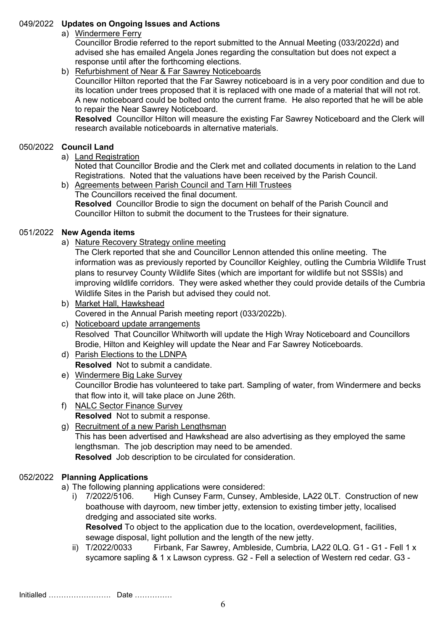## 049/2022 Updates on Ongoing Issues and Actions

# a) Windermere Ferry

Councillor Brodie referred to the report submitted to the Annual Meeting (033/2022d) and advised she has emailed Angela Jones regarding the consultation but does not expect a response until after the forthcoming elections.

### b) Refurbishment of Near & Far Sawrey Noticeboards

Councillor Hilton reported that the Far Sawrey noticeboard is in a very poor condition and due to its location under trees proposed that it is replaced with one made of a material that will not rot. A new noticeboard could be bolted onto the current frame. He also reported that he will be able to repair the Near Sawrey Noticeboard.

Resolved Councillor Hilton will measure the existing Far Sawrey Noticeboard and the Clerk will research available noticeboards in alternative materials.

# 050/2022 Council Land

a) Land Registration

Noted that Councillor Brodie and the Clerk met and collated documents in relation to the Land Registrations. Noted that the valuations have been received by the Parish Council.

b) Agreements between Parish Council and Tarn Hill Trustees The Councillors received the final document. Resolved Councillor Brodie to sign the document on behalf of the Parish Council and Councillor Hilton to submit the document to the Trustees for their signature.

### 051/2022 New Agenda items

a) Nature Recovery Strategy online meeting

The Clerk reported that she and Councillor Lennon attended this online meeting. The information was as previously reported by Councillor Keighley, outling the Cumbria Wildlife Trust plans to resurvey County Wildlife Sites (which are important for wildlife but not SSSIs) and improving wildlife corridors. They were asked whether they could provide details of the Cumbria Wildlife Sites in the Parish but advised they could not.

- b) Market Hall, Hawkshead Covered in the Annual Parish meeting report (033/2022b).
- c) Noticeboard update arrangements Resolved That Councillor Whitworth will update the High Wray Noticeboard and Councillors Brodie, Hilton and Keighley will update the Near and Far Sawrey Noticeboards.
- d) Parish Elections to the LDNPA Resolved Not to submit a candidate.
- e) Windermere Big Lake Survey Councillor Brodie has volunteered to take part. Sampling of water, from Windermere and becks that flow into it, will take place on June 26th.
- f) NALC Sector Finance Survey Resolved Not to submit a response.
- g) Recruitment of a new Parish Lengthsman

This has been advertised and Hawkshead are also advertising as they employed the same lengthsman. The job description may need to be amended.

Resolved Job description to be circulated for consideration.

# 052/2022 Planning Applications

a) The following planning applications were considered:

i) 7/2022/5106. High Cunsey Farm, Cunsey, Ambleside, LA22 0LT. Construction of new boathouse with dayroom, new timber jetty, extension to existing timber jetty, localised dredging and associated site works.

Resolved To object to the application due to the location, overdevelopment, facilities, sewage disposal, light pollution and the length of the new jetty.

ii) T/2022/0033 Firbank, Far Sawrey, Ambleside, Cumbria, LA22 0LQ. G1 - G1 - Fell 1 x sycamore sapling & 1 x Lawson cypress. G2 - Fell a selection of Western red cedar. G3 -